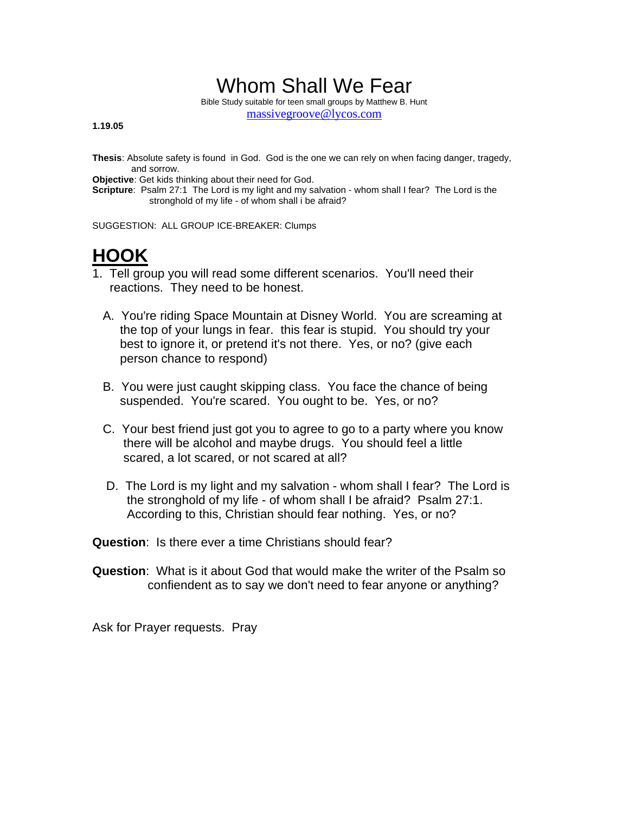## Whom Shall We Fear

Bible Study suitable for teen small groups by Matthew B. Hunt massivegroove@lycos.com

**1.19.05**

**Thesis**: Absolute safety is found in God. God is the one we can rely on when facing danger, tragedy, and sorrow.

**Objective**: Get kids thinking about their need for God.

**Scripture**: Psalm 27:1 The Lord is my light and my salvation - whom shall I fear? The Lord is the stronghold of my life - of whom shall i be afraid?

SUGGESTION: ALL GROUP ICE-BREAKER: Clumps

## **HOOK**

- 1. Tell group you will read some different scenarios. You'll need their reactions. They need to be honest.
	- A. You're riding Space Mountain at Disney World. You are screaming at the top of your lungs in fear. this fear is stupid. You should try your best to ignore it, or pretend it's not there. Yes, or no? (give each person chance to respond)
	- B. You were just caught skipping class. You face the chance of being suspended. You're scared. You ought to be. Yes, or no?
	- C. Your best friend just got you to agree to go to a party where you know there will be alcohol and maybe drugs. You should feel a little scared, a lot scared, or not scared at all?
	- D. The Lord is my light and my salvation whom shall I fear? The Lord is the stronghold of my life - of whom shall I be afraid? Psalm 27:1. According to this, Christian should fear nothing. Yes, or no?

**Question**: Is there ever a time Christians should fear?

**Question**: What is it about God that would make the writer of the Psalm so confiendent as to say we don't need to fear anyone or anything?

Ask for Prayer requests. Pray